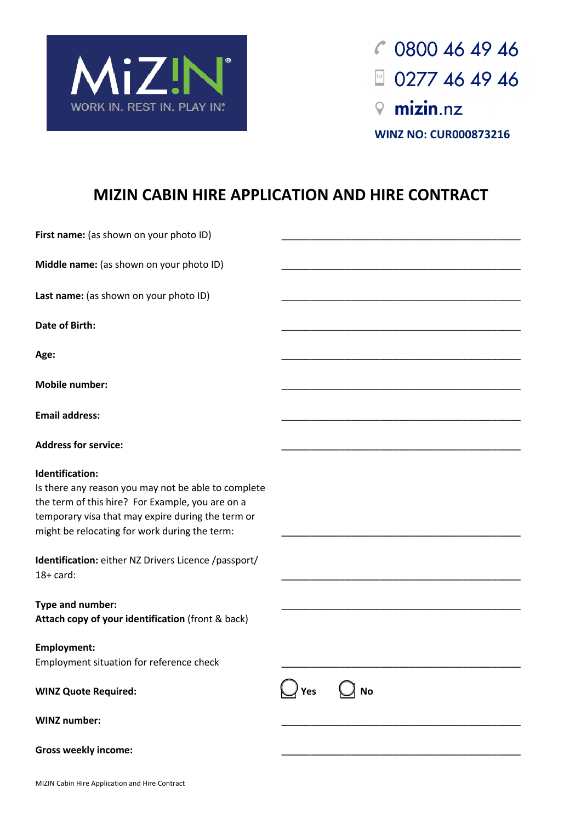

 $C$  0800 46 49 46 **Or (0800 122 246) i** 0277 46 49 46 **www.cabinhire.nz WINZ** 

**NO:CUR000873216 WINZ NO: CUR000873216**

# **MIZIN CABIN HIRE APPLICATION AND HIRE CONTRACT**

| First name: (as shown on your photo ID)                                                                                                                                                                                          |                  |
|----------------------------------------------------------------------------------------------------------------------------------------------------------------------------------------------------------------------------------|------------------|
| Middle name: (as shown on your photo ID)                                                                                                                                                                                         |                  |
| Last name: (as shown on your photo ID)                                                                                                                                                                                           |                  |
| <b>Date of Birth:</b>                                                                                                                                                                                                            |                  |
| Age:                                                                                                                                                                                                                             |                  |
| <b>Mobile number:</b>                                                                                                                                                                                                            |                  |
| <b>Email address:</b>                                                                                                                                                                                                            |                  |
| <b>Address for service:</b>                                                                                                                                                                                                      |                  |
| Identification:<br>Is there any reason you may not be able to complete<br>the term of this hire? For Example, you are on a<br>temporary visa that may expire during the term or<br>might be relocating for work during the term: |                  |
| Identification: either NZ Drivers Licence /passport/<br>$18+$ card:                                                                                                                                                              |                  |
| Type and number:<br>Attach copy of your identification (front & back)                                                                                                                                                            |                  |
| <b>Employment:</b><br>Employment situation for reference check                                                                                                                                                                   |                  |
| <b>WINZ Quote Required:</b>                                                                                                                                                                                                      | <b>No</b><br>Yes |
| <b>WINZ number:</b>                                                                                                                                                                                                              |                  |
| <b>Gross weekly income:</b>                                                                                                                                                                                                      |                  |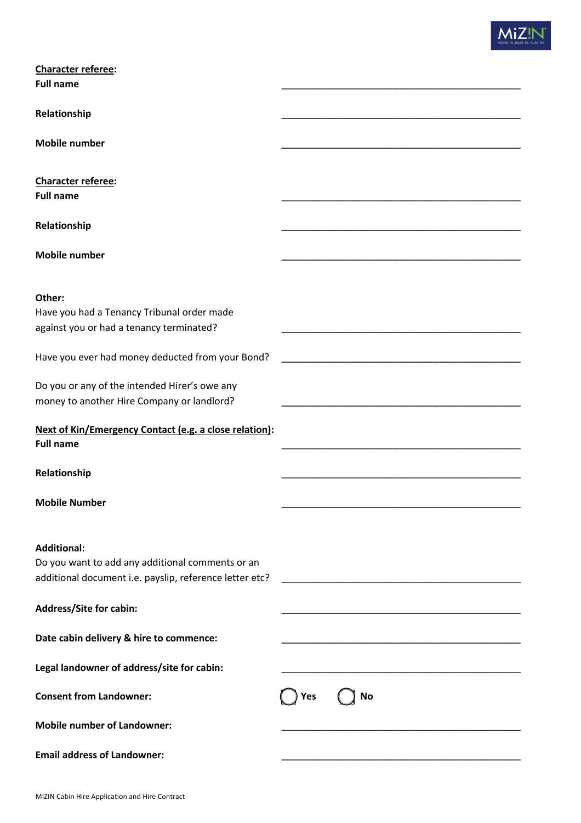| <b>Character referee:</b>                                                              |                  |
|----------------------------------------------------------------------------------------|------------------|
| <b>Full name</b>                                                                       |                  |
| Relationship                                                                           |                  |
| <b>Mobile number</b>                                                                   |                  |
|                                                                                        |                  |
| <b>Character referee:</b><br><b>Full name</b>                                          |                  |
|                                                                                        |                  |
| Relationship                                                                           |                  |
| <b>Mobile number</b>                                                                   |                  |
|                                                                                        |                  |
| Other:                                                                                 |                  |
| Have you had a Tenancy Tribunal order made<br>against you or had a tenancy terminated? |                  |
|                                                                                        |                  |
| Have you ever had money deducted from your Bond?                                       |                  |
| Do you or any of the intended Hirer's owe any                                          |                  |
| money to another Hire Company or landlord?                                             |                  |
| Next of Kin/Emergency Contact (e.g. a close relation):<br><b>Full name</b>             |                  |
|                                                                                        |                  |
| Relationship                                                                           |                  |
| <b>Mobile Number</b>                                                                   |                  |
|                                                                                        |                  |
| <b>Additional:</b>                                                                     |                  |
| Do you want to add any additional comments or an                                       |                  |
| additional document i.e. payslip, reference letter etc?                                |                  |
| Address/Site for cabin:                                                                |                  |
| Date cabin delivery & hire to commence:                                                |                  |
| Legal landowner of address/site for cabin:                                             |                  |
| <b>Consent from Landowner:</b>                                                         | <b>No</b><br>Yes |
| <b>Mobile number of Landowner:</b>                                                     |                  |
| <b>Email address of Landowner:</b>                                                     |                  |